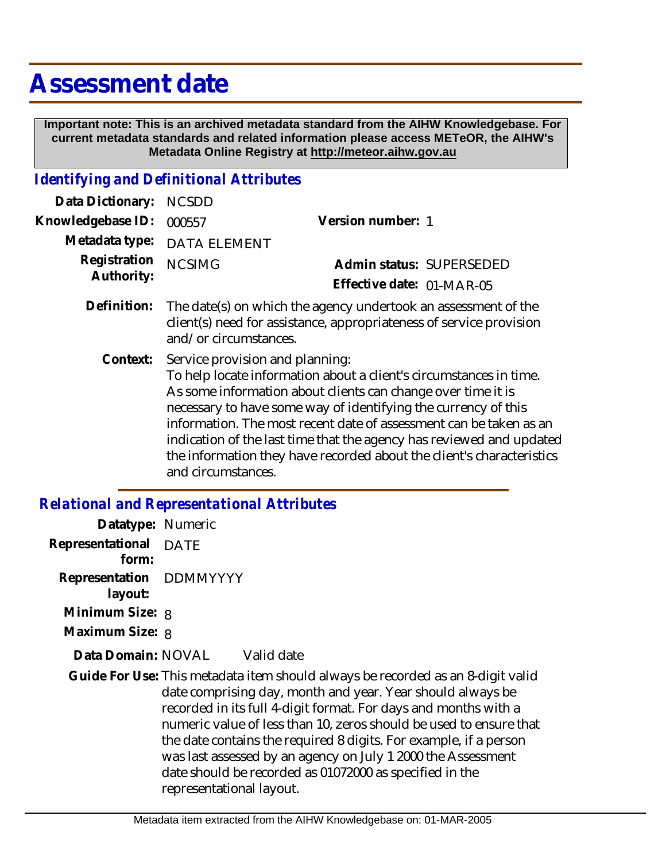## **Assessment date**

 **Important note: This is an archived metadata standard from the AIHW Knowledgebase. For current metadata standards and related information please access METeOR, the AIHW's Metadata Online Registry at http://meteor.aihw.gov.au**

## *Identifying and Definitional Attributes*

| Data Dictionary: NCSDD     |                                                                                                                                                                |                                                       |
|----------------------------|----------------------------------------------------------------------------------------------------------------------------------------------------------------|-------------------------------------------------------|
| Knowledgebase ID:          | 000557                                                                                                                                                         | Version number: 1                                     |
|                            | Metadata type: DATA ELEMENT                                                                                                                                    |                                                       |
| Registration<br>Authority: | <b>NCSIMG</b>                                                                                                                                                  | Admin status: SUPERSEDED<br>Effective date: 01-MAR-05 |
| Definition:                | The date(s) on which the agency undertook an assessment of the<br>client(s) need for assistance, appropriateness of service provision<br>and/or circumstances. |                                                       |

Service provision and planning: To help locate information about a client's circumstances in time. As some information about clients can change over time it is necessary to have some way of identifying the currency of this information. The most recent date of assessment can be taken as an indication of the last time that the agency has reviewed and updated the information they have recorded about the client's characteristics and circumstances. **Context:**

## *Relational and Representational Attributes*

| Datatype: Numeric                  |                                                                                                                                                                                                                                                                                                                                                                                                                                                                                                                    |
|------------------------------------|--------------------------------------------------------------------------------------------------------------------------------------------------------------------------------------------------------------------------------------------------------------------------------------------------------------------------------------------------------------------------------------------------------------------------------------------------------------------------------------------------------------------|
| Representational DATE<br>form:     |                                                                                                                                                                                                                                                                                                                                                                                                                                                                                                                    |
| Representation DDMMYYYY<br>layout: |                                                                                                                                                                                                                                                                                                                                                                                                                                                                                                                    |
| Minimum Size: 8                    |                                                                                                                                                                                                                                                                                                                                                                                                                                                                                                                    |
| Maximum Size: 8                    |                                                                                                                                                                                                                                                                                                                                                                                                                                                                                                                    |
| Data Domain: NOVAL                 | Valid date                                                                                                                                                                                                                                                                                                                                                                                                                                                                                                         |
|                                    | Guide For Use: This metadata item should always be recorded as an 8-digit valid<br>date comprising day, month and year. Year should always be<br>recorded in its full 4-digit format. For days and months with a<br>numeric value of less than 10, zeros should be used to ensure that<br>the date contains the required 8 digits. For example, if a person<br>was last assessed by an agency on July 1 2000 the Assessment<br>date should be recorded as 01072000 as specified in the<br>representational layout. |